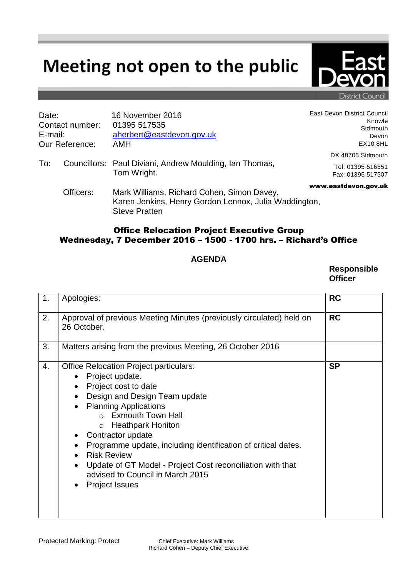## Meeting not open to the public



District Counci

| Date:                                               |           | 16 November 2016                                                                                                            | East Devon District Council                    |
|-----------------------------------------------------|-----------|-----------------------------------------------------------------------------------------------------------------------------|------------------------------------------------|
| Contact number:<br>E-mail:<br><b>Our Reference:</b> |           | 01395 517535<br>aherbert@eastdevon.gov.uk<br>AMH                                                                            | Knowle<br>Sidmouth<br>Devon<br><b>EX10 8HL</b> |
| To:                                                 |           | Councillors: Paul Diviani, Andrew Moulding, Ian Thomas,<br>Tom Wright.                                                      | DX 48705 Sidmouth                              |
|                                                     |           |                                                                                                                             | Tel: 01395 516551<br>Fax: 01395 517507         |
|                                                     | Officers: | Mark Williams, Richard Cohen, Simon Davey,<br>Karen Jenkins, Henry Gordon Lennox, Julia Waddington,<br><b>Steve Pratten</b> | www.eastdevon.gov.uk                           |

## Office Relocation Project Executive Group Wednesday, 7 December 2016 – 1500 - 1700 hrs. – Richard's Office

## **AGENDA**

**Responsible Officer**

| 1. | Apologies:                                                                                                                                                                                                                                                                                                                                                                                                                                                                                                                                                                | <b>RC</b> |
|----|---------------------------------------------------------------------------------------------------------------------------------------------------------------------------------------------------------------------------------------------------------------------------------------------------------------------------------------------------------------------------------------------------------------------------------------------------------------------------------------------------------------------------------------------------------------------------|-----------|
| 2. | Approval of previous Meeting Minutes (previously circulated) held on<br>26 October.                                                                                                                                                                                                                                                                                                                                                                                                                                                                                       | <b>RC</b> |
| 3. | Matters arising from the previous Meeting, 26 October 2016                                                                                                                                                                                                                                                                                                                                                                                                                                                                                                                |           |
| 4. | <b>Office Relocation Project particulars:</b><br>Project update,<br>$\bullet$<br>Project cost to date<br>$\bullet$<br>Design and Design Team update<br>$\bullet$<br><b>Planning Applications</b><br>$\bullet$<br>$\circ$ Exmouth Town Hall<br><b>Heathpark Honiton</b><br>$\circ$<br>Contractor update<br>٠<br>Programme update, including identification of critical dates.<br>٠<br><b>Risk Review</b><br>$\bullet$<br>Update of GT Model - Project Cost reconciliation with that<br>$\bullet$<br>advised to Council in March 2015<br><b>Project Issues</b><br>$\bullet$ | <b>SP</b> |